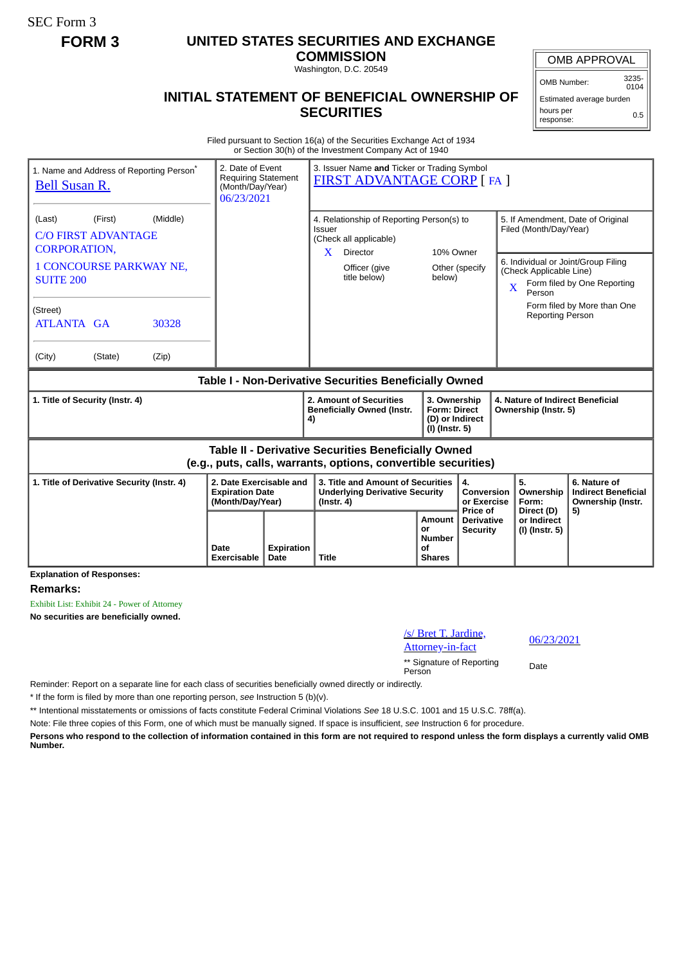SEC Form 3

## **FORM 3 UNITED STATES SECURITIES AND EXCHANGE**

**COMMISSION** Washington, D.C. 20549

## **INITIAL STATEMENT OF BENEFICIAL OWNERSHIP OF SECURITIES**

OMB APPROVAL

OMB Number: 3235-  $0104$ 

Estimated average burden hours per response: 0.5

Filed pursuant to Section 16(a) of the Securities Exchange Act of 1934 or Section 30(h) of the Investment Company Act of 1940

| 1. Name and Address of Reporting Person <sup>®</sup><br><b>Bell Susan R.</b>                                                 | 2. Date of Event<br><b>Requiring Statement</b><br>(Month/Day/Year)<br>06/23/2021 |            | 3. Issuer Name and Ticker or Trading Symbol<br><b>FIRST ADVANTAGE CORP [FA ]</b>                                   |                                                                          |                                             |                                                                                                                                    |                                                                       |
|------------------------------------------------------------------------------------------------------------------------------|----------------------------------------------------------------------------------|------------|--------------------------------------------------------------------------------------------------------------------|--------------------------------------------------------------------------|---------------------------------------------|------------------------------------------------------------------------------------------------------------------------------------|-----------------------------------------------------------------------|
| (Middle)<br>(First)<br>(Last)<br><b>C/O FIRST ADVANTAGE</b><br><b>CORPORATION.</b>                                           |                                                                                  |            | 4. Relationship of Reporting Person(s) to<br>Issuer<br>(Check all applicable)<br>10% Owner<br>X<br><b>Director</b> |                                                                          |                                             | 5. If Amendment, Date of Original<br>Filed (Month/Day/Year)                                                                        |                                                                       |
| <b>1 CONCOURSE PARKWAY NE,</b><br><b>SUITE 200</b>                                                                           |                                                                                  |            | Officer (give<br>title below)                                                                                      | Other (specify<br>below)                                                 |                                             | 6. Individual or Joint/Group Filing<br>(Check Applicable Line)<br>Form filed by One Reporting<br>$\overline{\mathbf{X}}$<br>Person |                                                                       |
| (Street)<br>ATLANTA GA<br>30328                                                                                              |                                                                                  |            |                                                                                                                    |                                                                          |                                             | <b>Reporting Person</b>                                                                                                            | Form filed by More than One                                           |
| (City)<br>(State)<br>(Zip)                                                                                                   |                                                                                  |            |                                                                                                                    |                                                                          |                                             |                                                                                                                                    |                                                                       |
| Table I - Non-Derivative Securities Beneficially Owned                                                                       |                                                                                  |            |                                                                                                                    |                                                                          |                                             |                                                                                                                                    |                                                                       |
| 1. Title of Security (Instr. 4)                                                                                              |                                                                                  |            | 2. Amount of Securities<br><b>Beneficially Owned (Instr.</b><br>4)                                                 | 3. Ownership<br><b>Form: Direct</b><br>(D) or Indirect<br>(I) (Instr. 5) |                                             | 4. Nature of Indirect Beneficial<br>Ownership (Instr. 5)                                                                           |                                                                       |
| <b>Table II - Derivative Securities Beneficially Owned</b><br>(e.g., puts, calls, warrants, options, convertible securities) |                                                                                  |            |                                                                                                                    |                                                                          |                                             |                                                                                                                                    |                                                                       |
| 2. Date Exercisable and<br>1. Title of Derivative Security (Instr. 4)<br><b>Expiration Date</b><br>(Month/Day/Year)          |                                                                                  |            | 3. Title and Amount of Securities<br><b>Underlying Derivative Security</b><br>$($ lnstr. 4 $)$                     |                                                                          | 4.<br>Conversion<br>or Exercise<br>Price of | 5.<br>Ownership<br>Form:<br>Direct (D)                                                                                             | 6. Nature of<br><b>Indirect Beneficial</b><br>Ownership (Instr.<br>5) |
|                                                                                                                              | Date                                                                             | Expiration |                                                                                                                    | Amount<br>or<br><b>Number</b><br>Οf                                      | <b>Derivative</b><br><b>Security</b>        | or Indirect<br>(I) (Instr. 5)                                                                                                      |                                                                       |

**Remarks:**

Exhibit List: Exhibit 24 - Power of Attorney **No securities are beneficially owned.**

/s/ Bret T. Jardine,

 $\frac{06}{23/2021}$ .  $\frac{06}{23/2021}$ 

\*\* Signature of Reporting Person Date

Reminder: Report on a separate line for each class of securities beneficially owned directly or indirectly.

\* If the form is filed by more than one reporting person, *see* Instruction 5 (b)(v).

\*\* Intentional misstatements or omissions of facts constitute Federal Criminal Violations *See* 18 U.S.C. 1001 and 15 U.S.C. 78ff(a).

Note: File three copies of this Form, one of which must be manually signed. If space is insufficient, *see* Instruction 6 for procedure.

**Persons who respond to the collection of information contained in this form are not required to respond unless the form displays a currently valid OMB Number.**